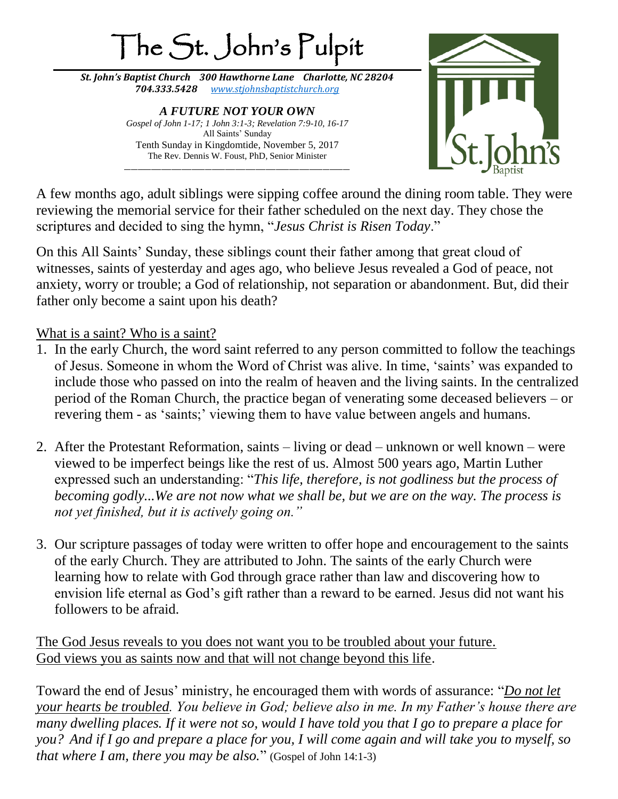

A few months ago, adult siblings were sipping coffee around the dining room table. They were reviewing the memorial service for their father scheduled on the next day. They chose the scriptures and decided to sing the hymn, "*Jesus Christ is Risen Today*."

On this All Saints' Sunday, these siblings count their father among that great cloud of witnesses, saints of yesterday and ages ago, who believe Jesus revealed a God of peace, not anxiety, worry or trouble; a God of relationship, not separation or abandonment. But, did their father only become a saint upon his death?

What is a saint? Who is a saint?

- 1. In the early Church, the word saint referred to any person committed to follow the teachings of Jesus. Someone in whom the Word of Christ was alive. In time, 'saints' was expanded to include those who passed on into the realm of heaven and the living saints. In the centralized period of the Roman Church, the practice began of venerating some deceased believers – or revering them - as 'saints;' viewing them to have value between angels and humans.
- 2. After the Protestant Reformation, saints living or dead unknown or well known were viewed to be imperfect beings like the rest of us. Almost 500 years ago, Martin Luther expressed such an understanding: "*This life, therefore, is not godliness but the process of becoming godly...We are not now what we shall be, but we are on the way. The process is not yet finished, but it is actively going on."*
- 3. Our scripture passages of today were written to offer hope and encouragement to the saints of the early Church. They are attributed to John. The saints of the early Church were learning how to relate with God through grace rather than law and discovering how to envision life eternal as God's gift rather than a reward to be earned. Jesus did not want his followers to be afraid.

The God Jesus reveals to you does not want you to be troubled about your future. God views you as saints now and that will not change beyond this life.

Toward the end of Jesus' ministry, he encouraged them with words of assurance: "*Do not let your hearts be troubled. You believe in God; believe also in me. In my Father's house there are many dwelling places. If it were not so, would I have told you that I go to prepare a place for you? And if I go and prepare a place for you, I will come again and will take you to myself, so that where I am, there you may be also.*" (Gospel of John 14:1-3)